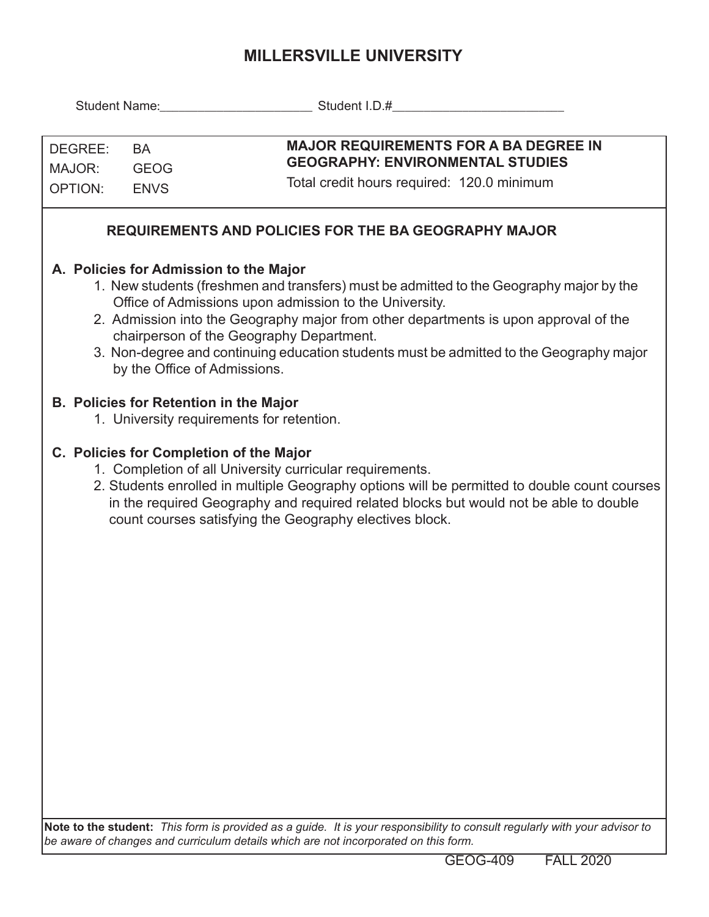## **MILLERSVILLE UNIVERSITY**

| DEGREE:<br><b>BA</b><br>MAJOR:<br><b>GEOG</b><br><b>OPTION:</b><br><b>ENVS</b>                                                                                                                                                                                                                                                                                                                                                                             |  | <b>MAJOR REQUIREMENTS FOR A BA DEGREE IN</b><br><b>GEOGRAPHY: ENVIRONMENTAL STUDIES</b><br>Total credit hours required: 120.0 minimum |  |  |  |  |  |  |  |
|------------------------------------------------------------------------------------------------------------------------------------------------------------------------------------------------------------------------------------------------------------------------------------------------------------------------------------------------------------------------------------------------------------------------------------------------------------|--|---------------------------------------------------------------------------------------------------------------------------------------|--|--|--|--|--|--|--|
| <b>REQUIREMENTS AND POLICIES FOR THE BA GEOGRAPHY MAJOR</b>                                                                                                                                                                                                                                                                                                                                                                                                |  |                                                                                                                                       |  |  |  |  |  |  |  |
| A. Policies for Admission to the Major<br>1. New students (freshmen and transfers) must be admitted to the Geography major by the<br>Office of Admissions upon admission to the University.<br>2. Admission into the Geography major from other departments is upon approval of the<br>chairperson of the Geography Department.<br>3. Non-degree and continuing education students must be admitted to the Geography major<br>by the Office of Admissions. |  |                                                                                                                                       |  |  |  |  |  |  |  |
|                                                                                                                                                                                                                                                                                                                                                                                                                                                            |  | <b>B. Policies for Retention in the Major</b><br>1. University requirements for retention.                                            |  |  |  |  |  |  |  |
| C. Policies for Completion of the Major<br>1. Completion of all University curricular requirements.<br>2. Students enrolled in multiple Geography options will be permitted to double count courses<br>in the required Geography and required related blocks but would not be able to double<br>count courses satisfying the Geography electives block.                                                                                                    |  |                                                                                                                                       |  |  |  |  |  |  |  |
|                                                                                                                                                                                                                                                                                                                                                                                                                                                            |  |                                                                                                                                       |  |  |  |  |  |  |  |
|                                                                                                                                                                                                                                                                                                                                                                                                                                                            |  | Note to the student: This form is provided as a quide. It is your responsibility to consult regularly with your advisor to            |  |  |  |  |  |  |  |

**Note to the student:** *This form is provided as a guide. It is your responsibility to consult regularly with your advisor to be aware of changes and curriculum details which are not incorporated on this form.*